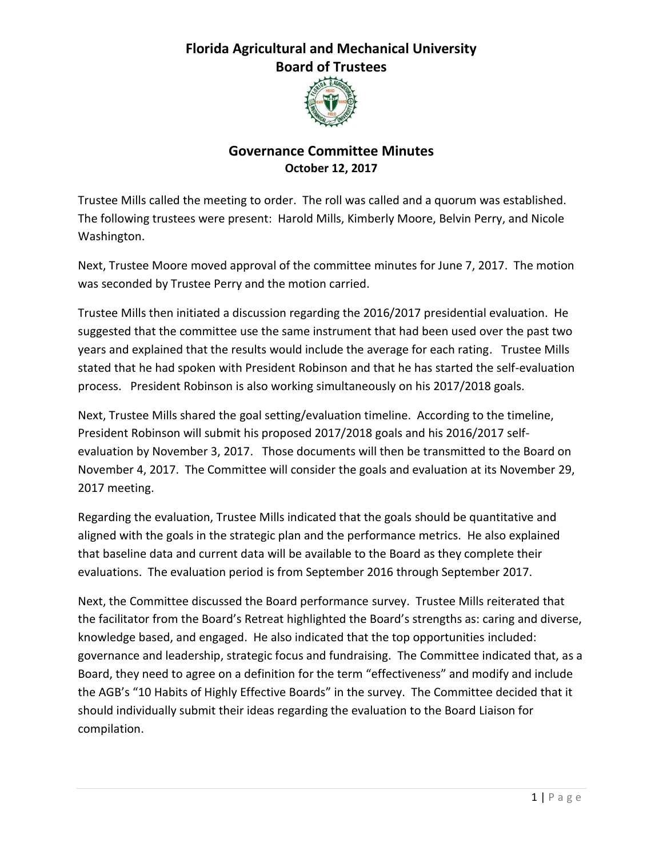## **Florida Agricultural and Mechanical University Board of Trustees**



## **Governance Committee Minutes October 12, 2017**

Trustee Mills called the meeting to order. The roll was called and a quorum was established. The following trustees were present: Harold Mills, Kimberly Moore, Belvin Perry, and Nicole Washington.

Next, Trustee Moore moved approval of the committee minutes for June 7, 2017. The motion was seconded by Trustee Perry and the motion carried.

Trustee Mills then initiated a discussion regarding the 2016/2017 presidential evaluation. He suggested that the committee use the same instrument that had been used over the past two years and explained that the results would include the average for each rating. Trustee Mills stated that he had spoken with President Robinson and that he has started the self-evaluation process. President Robinson is also working simultaneously on his 2017/2018 goals.

Next, Trustee Mills shared the goal setting/evaluation timeline. According to the timeline, President Robinson will submit his proposed 2017/2018 goals and his 2016/2017 selfevaluation by November 3, 2017. Those documents will then be transmitted to the Board on November 4, 2017. The Committee will consider the goals and evaluation at its November 29, 2017 meeting.

Regarding the evaluation, Trustee Mills indicated that the goals should be quantitative and aligned with the goals in the strategic plan and the performance metrics. He also explained that baseline data and current data will be available to the Board as they complete their evaluations. The evaluation period is from September 2016 through September 2017.

Next, the Committee discussed the Board performance survey. Trustee Mills reiterated that the facilitator from the Board's Retreat highlighted the Board's strengths as: caring and diverse, knowledge based, and engaged. He also indicated that the top opportunities included: governance and leadership, strategic focus and fundraising. The Committee indicated that, as a Board, they need to agree on a definition for the term "effectiveness" and modify and include the AGB's "10 Habits of Highly Effective Boards" in the survey. The Committee decided that it should individually submit their ideas regarding the evaluation to the Board Liaison for compilation.